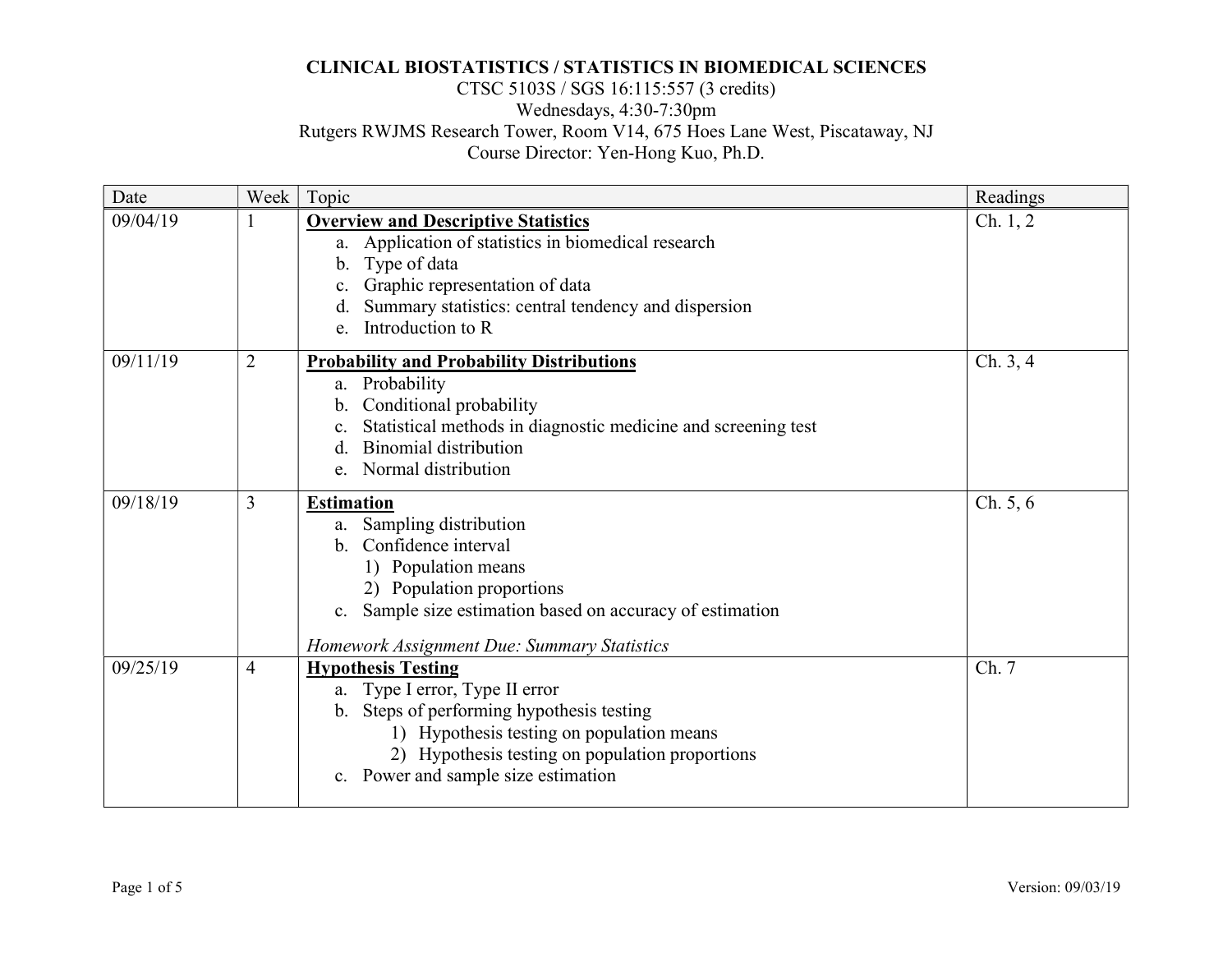# CTSC 5103S / SGS 16:115:557 (3 credits) Wednesdays, 4:30-7:30pm Rutgers RWJMS Research Tower, Room V14, 675 Hoes Lane West, Piscataway, NJ Course Director: Yen-Hong Kuo, Ph.D.

| Date     | Week           | Topic                                                                                                                                                                                                                                                           | Readings |
|----------|----------------|-----------------------------------------------------------------------------------------------------------------------------------------------------------------------------------------------------------------------------------------------------------------|----------|
| 09/04/19 |                | <b>Overview and Descriptive Statistics</b><br>a. Application of statistics in biomedical research<br>b. Type of data<br>Graphic representation of data<br>c.<br>Summary statistics: central tendency and dispersion<br>d.<br>Introduction to R<br>e.            | Ch. 1, 2 |
| 09/11/19 | $\overline{2}$ | <b>Probability and Probability Distributions</b><br>a. Probability<br>Conditional probability<br>$\mathbf{b}$ .<br>Statistical methods in diagnostic medicine and screening test<br><b>Binomial distribution</b><br>$\mathbf{d}$ .<br>Normal distribution<br>e. | Ch. 3, 4 |
| 09/18/19 | 3              | <b>Estimation</b><br>a. Sampling distribution<br>b. Confidence interval<br>1) Population means<br>2) Population proportions<br>Sample size estimation based on accuracy of estimation<br>c.<br>Homework Assignment Due: Summary Statistics                      | Ch. 5, 6 |
| 09/25/19 | $\overline{4}$ | <b>Hypothesis Testing</b><br>a. Type I error, Type II error<br>b. Steps of performing hypothesis testing<br>1) Hypothesis testing on population means<br>2) Hypothesis testing on population proportions<br>c. Power and sample size estimation                 | Ch. 7    |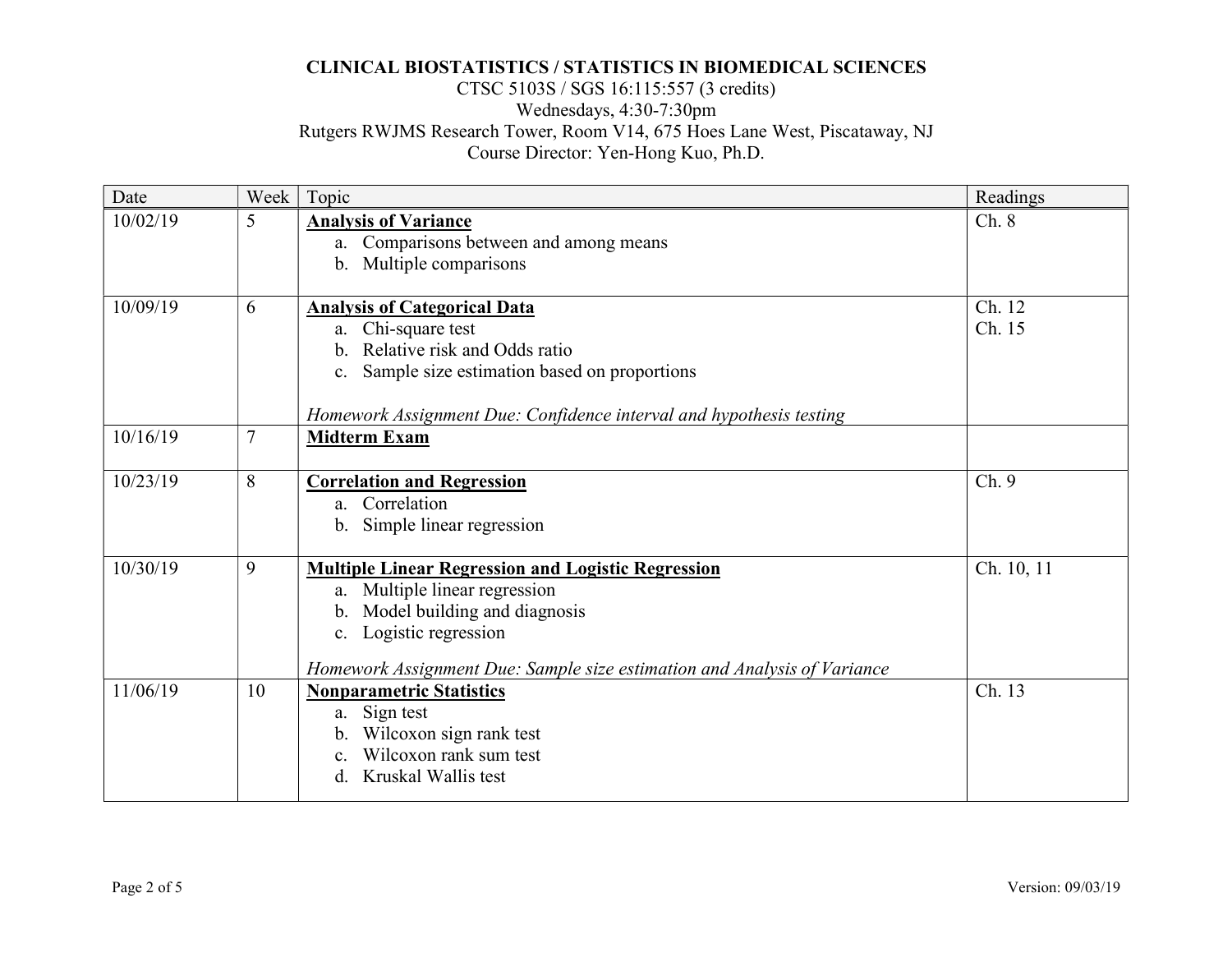# CTSC 5103S / SGS 16:115:557 (3 credits) Wednesdays, 4:30-7:30pm Rutgers RWJMS Research Tower, Room V14, 675 Hoes Lane West, Piscataway, NJ Course Director: Yen-Hong Kuo, Ph.D.

| Date     | Week           | Topic                                                                                                                                                                                                                               | Readings         |
|----------|----------------|-------------------------------------------------------------------------------------------------------------------------------------------------------------------------------------------------------------------------------------|------------------|
| 10/02/19 | 5              | <b>Analysis of Variance</b><br>a. Comparisons between and among means<br>b. Multiple comparisons                                                                                                                                    | Ch. 8            |
| 10/09/19 | 6              | <b>Analysis of Categorical Data</b><br>a. Chi-square test<br>b. Relative risk and Odds ratio<br>c. Sample size estimation based on proportions<br>Homework Assignment Due: Confidence interval and hypothesis testing               | Ch. 12<br>Ch. 15 |
| 10/16/19 | $\overline{7}$ | <b>Midterm Exam</b>                                                                                                                                                                                                                 |                  |
| 10/23/19 | 8              | <b>Correlation and Regression</b><br>a. Correlation<br>b. Simple linear regression                                                                                                                                                  | Ch.9             |
| 10/30/19 | 9              | <b>Multiple Linear Regression and Logistic Regression</b><br>a. Multiple linear regression<br>b. Model building and diagnosis<br>c. Logistic regression<br>Homework Assignment Due: Sample size estimation and Analysis of Variance | Ch. 10, 11       |
| 11/06/19 | 10             | <b>Nonparametric Statistics</b><br>a. Sign test<br>b. Wilcoxon sign rank test<br>Wilcoxon rank sum test<br>Kruskal Wallis test<br>d.                                                                                                | Ch. 13           |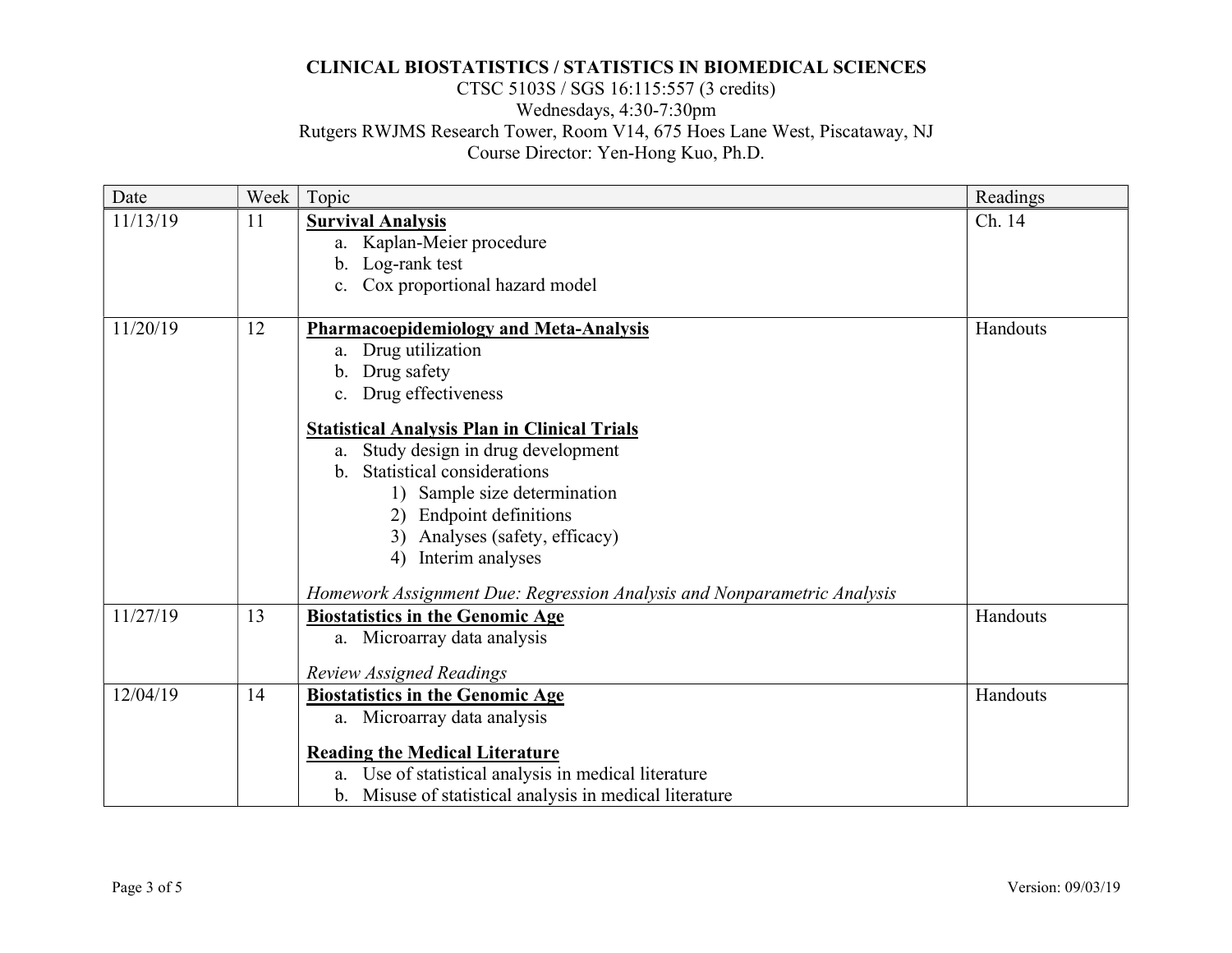# CTSC 5103S / SGS 16:115:557 (3 credits) Wednesdays, 4:30-7:30pm Rutgers RWJMS Research Tower, Room V14, 675 Hoes Lane West, Piscataway, NJ Course Director: Yen-Hong Kuo, Ph.D.

| Date     | Week | Topic                                                                   | Readings |
|----------|------|-------------------------------------------------------------------------|----------|
| 11/13/19 | 11   | <b>Survival Analysis</b><br>a. Kaplan-Meier procedure                   | Ch. 14   |
|          |      | b. Log-rank test                                                        |          |
|          |      | c. Cox proportional hazard model                                        |          |
|          |      |                                                                         |          |
| 11/20/19 | 12   | <b>Pharmacoepidemiology and Meta-Analysis</b>                           | Handouts |
|          |      | a. Drug utilization                                                     |          |
|          |      | Drug safety<br>b.                                                       |          |
|          |      | c. Drug effectiveness                                                   |          |
|          |      | <b>Statistical Analysis Plan in Clinical Trials</b>                     |          |
|          |      | Study design in drug development<br>a.                                  |          |
|          |      | b. Statistical considerations                                           |          |
|          |      | 1) Sample size determination                                            |          |
|          |      | 2) Endpoint definitions                                                 |          |
|          |      | 3) Analyses (safety, efficacy)                                          |          |
|          |      | 4) Interim analyses                                                     |          |
|          |      | Homework Assignment Due: Regression Analysis and Nonparametric Analysis |          |
| 11/27/19 | 13   | <b>Biostatistics in the Genomic Age</b>                                 | Handouts |
|          |      | a. Microarray data analysis                                             |          |
|          |      | <b>Review Assigned Readings</b>                                         |          |
| 12/04/19 | 14   | <b>Biostatistics in the Genomic Age</b>                                 | Handouts |
|          |      | a. Microarray data analysis                                             |          |
|          |      | <b>Reading the Medical Literature</b>                                   |          |
|          |      | a. Use of statistical analysis in medical literature                    |          |
|          |      | b. Misuse of statistical analysis in medical literature                 |          |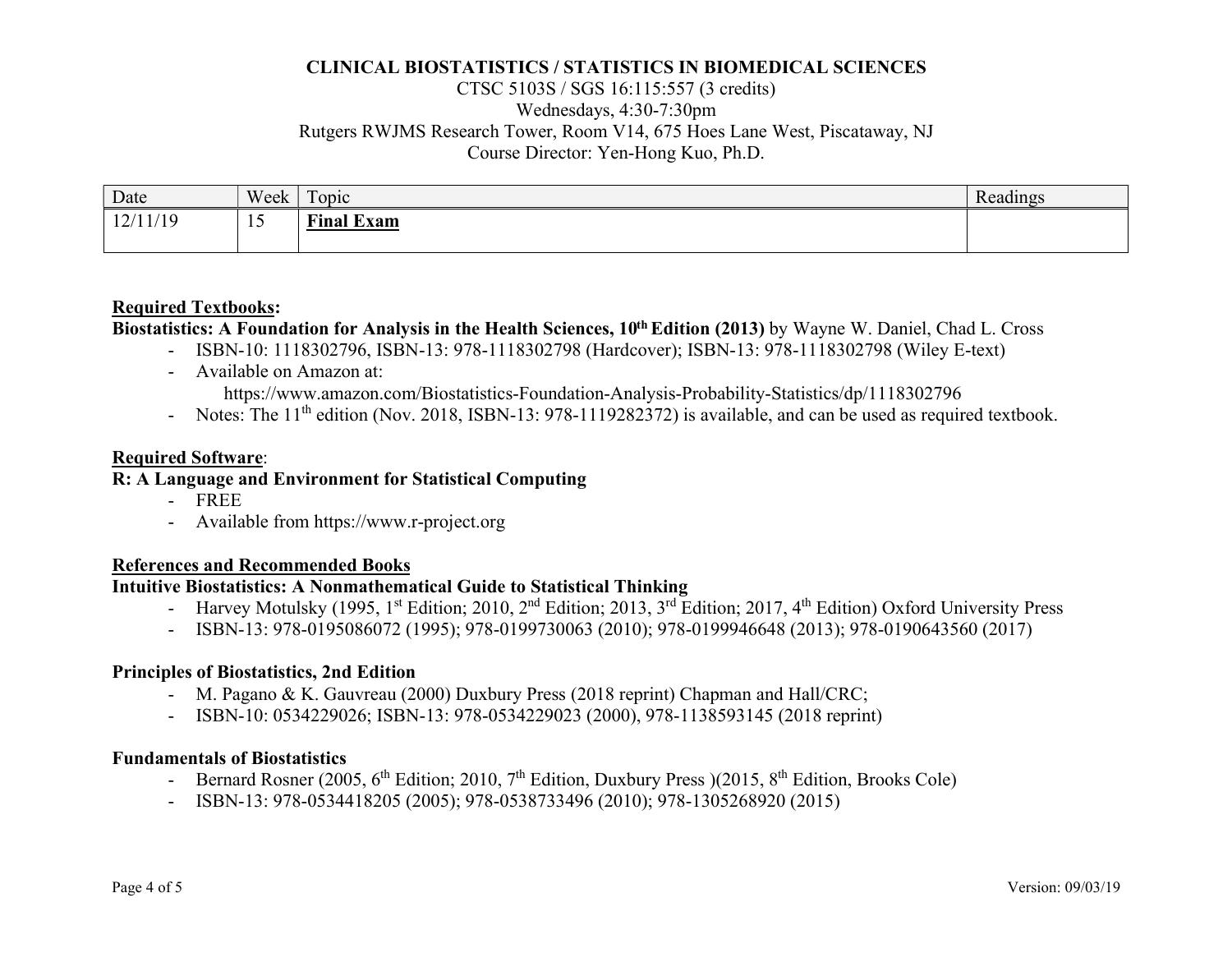## CTSC 5103S / SGS 16:115:557 (3 credits) Wednesdays, 4:30-7:30pm Rutgers RWJMS Research Tower, Room V14, 675 Hoes Lane West, Piscataway, NJ Course Director: Yen-Hong Kuo, Ph.D.

| Date     | Week | $\mathbf{r}$<br>$\log$ | $\rightarrow$<br>Readings |
|----------|------|------------------------|---------------------------|
| 12/11/19 |      | <b>Final Exam</b>      |                           |

#### Required Textbooks:

### Biostatistics: A Foundation for Analysis in the Health Sciences, 10<sup>th</sup> Edition (2013) by Wayne W. Daniel, Chad L. Cross

- ISBN-10: 1118302796, ISBN-13: 978-1118302798 (Hardcover); ISBN-13: 978-1118302798 (Wiley E-text)
- Available on Amazon at:

https://www.amazon.com/Biostatistics-Foundation-Analysis-Probability-Statistics/dp/1118302796

- Notes: The 11<sup>th</sup> edition (Nov. 2018, ISBN-13: 978-1119282372) is available, and can be used as required textbook.

#### Required Software:

### R: A Language and Environment for Statistical Computing

- FREE
- Available from https://www.r-project.org

### References and Recommended Books

# Intuitive Biostatistics: A Nonmathematical Guide to Statistical Thinking

- Harvey Motulsky (1995, 1<sup>st</sup> Edition; 2010, 2<sup>nd</sup> Edition; 2013, 3<sup>rd</sup> Edition; 2017, 4<sup>th</sup> Edition) Oxford University Press
- ISBN-13: 978-0195086072 (1995); 978-0199730063 (2010); 978-0199946648 (2013); 978-0190643560 (2017)

### Principles of Biostatistics, 2nd Edition

- M. Pagano & K. Gauvreau (2000) Duxbury Press (2018 reprint) Chapman and Hall/CRC;
- ISBN-10: 0534229026; ISBN-13: 978-0534229023 (2000), 978-1138593145 (2018 reprint)

### Fundamentals of Biostatistics

- Bernard Rosner (2005,  $6^{th}$  Edition; 2010,  $7^{th}$  Edition, Duxbury Press )(2015,  $8^{th}$  Edition, Brooks Cole)
- ISBN-13: 978-0534418205 (2005); 978-0538733496 (2010); 978-1305268920 (2015)